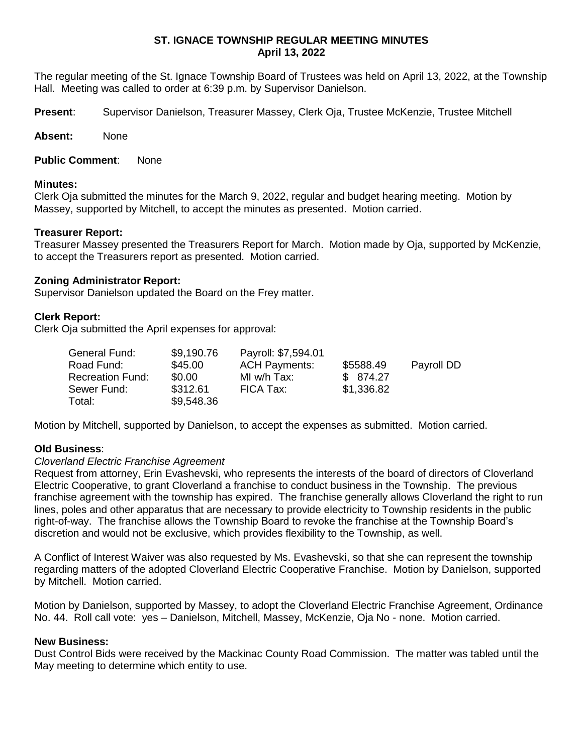# **ST. IGNACE TOWNSHIP REGULAR MEETING MINUTES April 13, 2022**

The regular meeting of the St. Ignace Township Board of Trustees was held on April 13, 2022, at the Township Hall. Meeting was called to order at 6:39 p.m. by Supervisor Danielson.

**Present**: Supervisor Danielson, Treasurer Massey, Clerk Oja, Trustee McKenzie, Trustee Mitchell

**Absent:** None

**Public Comment**: None

#### **Minutes:**

Clerk Oja submitted the minutes for the March 9, 2022, regular and budget hearing meeting. Motion by Massey, supported by Mitchell, to accept the minutes as presented. Motion carried.

### **Treasurer Report:**

Treasurer Massey presented the Treasurers Report for March. Motion made by Oja, supported by McKenzie, to accept the Treasurers report as presented. Motion carried.

#### **Zoning Administrator Report:**

Supervisor Danielson updated the Board on the Frey matter.

#### **Clerk Report:**

Clerk Oja submitted the April expenses for approval:

| General Fund:           | \$9,190.76 | Payroll: \$7,594.01  |            |            |
|-------------------------|------------|----------------------|------------|------------|
| Road Fund:              | \$45.00    | <b>ACH Payments:</b> | \$5588.49  | Payroll DD |
| <b>Recreation Fund:</b> | \$0.00     | MI w/h Tax:          | \$ 874.27  |            |
| Sewer Fund:             | \$312.61   | FICA Tax:            | \$1,336.82 |            |
| Total:                  | \$9,548.36 |                      |            |            |

Motion by Mitchell, supported by Danielson, to accept the expenses as submitted. Motion carried.

### **Old Business**:

### *Cloverland Electric Franchise Agreement*

Request from attorney, Erin Evashevski, who represents the interests of the board of directors of Cloverland Electric Cooperative, to grant Cloverland a franchise to conduct business in the Township. The previous franchise agreement with the township has expired. The franchise generally allows Cloverland the right to run lines, poles and other apparatus that are necessary to provide electricity to Township residents in the public right-of-way. The franchise allows the Township Board to revoke the franchise at the Township Board's discretion and would not be exclusive, which provides flexibility to the Township, as well.

A Conflict of Interest Waiver was also requested by Ms. Evashevski, so that she can represent the township regarding matters of the adopted Cloverland Electric Cooperative Franchise. Motion by Danielson, supported by Mitchell. Motion carried.

Motion by Danielson, supported by Massey, to adopt the Cloverland Electric Franchise Agreement, Ordinance No. 44. Roll call vote: yes – Danielson, Mitchell, Massey, McKenzie, Oja No - none. Motion carried.

### **New Business:**

Dust Control Bids were received by the Mackinac County Road Commission. The matter was tabled until the May meeting to determine which entity to use.